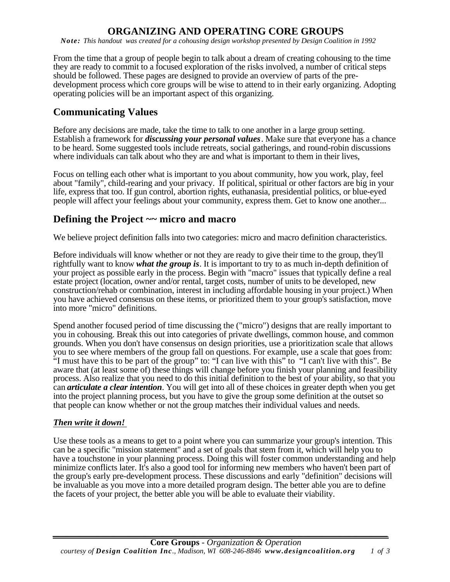# **ORGANIZING AND OPERATING CORE GROUPS**

*Note: This handout was created for a cohousing design workshop presented by Design Coalition in 1992* 

From the time that a group of people begin to talk about a dream of creating cohousing to the time they are ready to commit to a focused exploration of the risks involved, a number of critical steps should be followed. These pages are designed to provide an overview of parts of the predevelopment process which core groups will be wise to attend to in their early organizing. Adopting operating policies will be an important aspect of this organizing.

### **Communicating Values**

Before any decisions are made, take the time to talk to one another in a large group setting. Establish a framework for *discussing your personal values*. Make sure that everyone has a chance to be heard. Some suggested tools include retreats, social gatherings, and round-robin discussions where individuals can talk about who they are and what is important to them in their lives,

Focus on telling each other what is important to you about community, how you work, play, feel about "family", child-rearing and your privacy. If political, spiritual or other factors are big in your life, express that too. If gun control, abortion rights, euthanasia, presidential politics, or blue-eyed people will affect your feelings about your community, express them. Get to know one another...

### **Defining the Project ~~ micro and macro**

We believe project definition falls into two categories: micro and macro definition characteristics.

Before individuals will know whether or not they are ready to give their time to the group, they'll rightfully want to know *what the group is*. It is important to try to as much in-depth definition of your project as possible early in the process. Begin with "macro" issues that typically define a real estate project (location, owner and/or rental, target costs, number of units to be developed, new construction/rehab or combination, interest in including affordable housing in your project.) When you have achieved consensus on these items, or prioritized them to your group's satisfaction, move into more "micro" definitions.

Spend another focused period of time discussing the ("micro") designs that are really important to you in cohousing. Break this out into categories of private dwellings, common house, and common grounds. When you don't have consensus on design priorities, use a prioritization scale that allows you to see where members of the group fall on questions. For example, use a scale that goes from: "I must have this to be part of the group" to: "I can live with this" to "I can't live with this". Be aware that (at least some of) these things will change before you finish your planning and feasibility process. Also realize that you need to do this initial definition to the best of your ability, so that you can *articulate a clear intention*. You will get into all of these choices in greater depth when you get into the project planning process, but you have to give the group some definition at the outset so that people can know whether or not the group matches their individual values and needs.

#### *Then write it down!*

Use these tools as a means to get to a point where you can summarize your group's intention. This can be a specific "mission statement" and a set of goals that stem from it, which will help you to have a touchstone in your planning process. Doing this will foster common understanding and help minimize conflicts later. It's also a good tool for informing new members who haven't been part of the group's early pre-development process. These discussions and early "definition" decisions will be invaluable as you move into a more detailed program design. The better able you are to define the facets of your project, the better able you will be able to evaluate their viability.

*\_\_\_\_\_\_\_\_\_\_\_\_\_\_\_\_\_\_\_\_\_\_\_\_\_\_\_\_\_\_\_\_\_\_\_\_\_\_\_\_\_\_\_\_\_\_\_\_\_\_\_\_\_\_\_\_\_\_\_\_\_\_\_\_\_\_\_\_\_\_\_\_\_\_\_\_*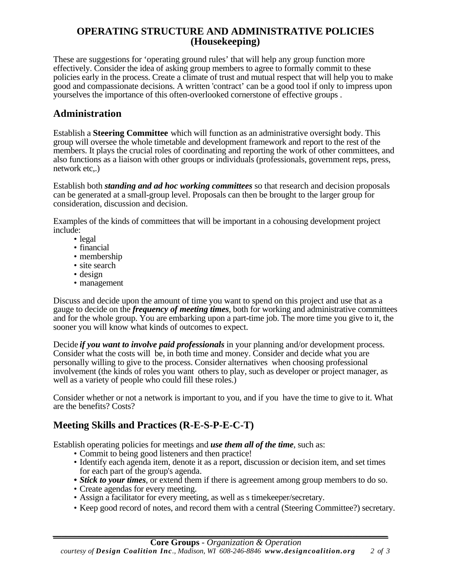#### **OPERATING STRUCTURE AND ADMINISTRATIVE POLICIES (Housekeeping)**

These are suggestions for 'operating ground rules' that will help any group function more effectively. Consider the idea of asking group members to agree to formally commit to these policies early in the process. Create a climate of trust and mutual respect that will help you to make good and compassionate decisions. A written 'contract' can be a good tool if only to impress upon yourselves the importance of this often-overlooked cornerstone of effective groups .

### **Administration**

Establish a **Steering Committee** which will function as an administrative oversight body. This group will oversee the whole timetable and development framework and report to the rest of the members. It plays the crucial roles of coordinating and reporting the work of other committees, and also functions as a liaison with other groups or individuals (professionals, government reps, press, network etc,.)

Establish both *standing and ad hoc working committees* so that research and decision proposals can be generated at a small-group level. Proposals can then be brought to the larger group for consideration, discussion and decision.

Examples of the kinds of committees that will be important in a cohousing development project include:

- legal
- financial
- membership
- site search
- design
- management

Discuss and decide upon the amount of time you want to spend on this project and use that as a gauge to decide on the *frequency of meeting times*, both for working and administrative committees and for the whole group. You are embarking upon a part-time job. The more time you give to it, the sooner you will know what kinds of outcomes to expect.

Decide *if you want to involve paid professionals* in your planning and/or development process. Consider what the costs will be, in both time and money. Consider and decide what you are personally willing to give to the process. Consider alternatives when choosing professional involvement (the kinds of roles you want others to play, such as developer or project manager, as well as a variety of people who could fill these roles.)

Consider whether or not a network is important to you, and if you have the time to give to it. What are the benefits? Costs?

### **Meeting Skills and Practices (R-E-S-P-E-C-T)**

Establish operating policies for meetings and *use them all of the time*, such as:

- Commit to being good listeners and then practice!
- Identify each agenda item, denote it as a report, discussion or decision item, and set times for each part of the group's agenda.
- *Stick to your times*, or extend them if there is agreement among group members to do so.
- Create agendas for every meeting.
- Assign a facilitator for every meeting, as well as s timekeeper/secretary.
- Keep good record of notes, and record them with a central (Steering Committee?) secretary.